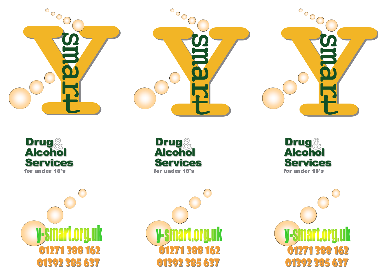